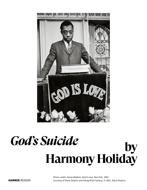

# *God's Suicide* **by Harmony Holiday**

Photo credit: *James Baldwin, God Is Love, New York, 1963*. Courtesy of Steve Shapiro and Fahey/Klein Gallery. © 1963, Steve Shapiro.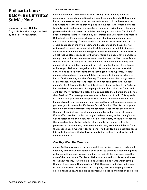## **Preface to James Baldwin's Unwritten Suicide Note**

Essay by Harmony Holiday Originally Published August 9, 2018 by The Poetry Foundation.

#### **Take Me to the Water**

Corsica, October, 1956, some jittering brandy. Billie Holiday is on the phonograph serenading a petit gathering of lovers and friends. Baldwin and his current lover, Arnold, have become taciturn and cold with one another and Arnold has announced that he plans to leave for Paris, where he wants to study music and escape the specter of an eternity with Jimmy—he feels possessed or dispossessed or both by their languid love affair. This kind of hyper-domestic intimacy followed by dysfunction and unravelling had marked Baldwin's love life and seemed to prey upon him, turning his tenderness into a haunt, a liability. Baldwin made his way upstairs while Arnold and the others continued in the living room, and he absconded the house by way of the rooftop, leapt down, and stumbled through a briar patch to the sea, finished his brandy and tossed the glass in before he himself walked toward a final resting place, ready to let that water take him under, having amassed enough heartache to crave an alternate consciousness, a black slate. But at the last minute, hip-deep in the water, as if he had been hallucinating and a spark of differentiation separated the real from the illusion at the height of his stupor, Baldwin changed his mind, his mandate became more vivid to him. He had to keep witnessing these very agonies and ruptures, to keep coming unhinged and living to tell it, he was bound to the earth, where he had to finish inventing Another Country. The suicidal impulse, a sign he was at an impasse, would fade and intensify in a haunting pattern throughout Jimmy's life. A few months before this attempt at sea, while still in Paris, he had swallowed an overdose of sleeping pills and then called his friend and confidant Mary Painter, who helped him regurgitate them before the pills took their fatal toll. That attempt too, was after a fight with Arnold. This episode in Corsica was just another in a pattern of nights, where a sense that the human struggle was meaningless was usurped by a reckless commitment to purpose, just in time to fortify James Baldwin's spirit. Was his clairvoyance futile if it precluded intimacy, was his boundless capacity for eros trivial in the face of his filial love for Black people and for justice for all of humanity. If love affairs evoked the fearful, unjust malaise lurking within Jimmy's soul, was it better to die of a lonely heart or a broken heart, or could he reconcile the false dichotomy between being alone and being lonely, realize the pleasure and intentionality in his solitude, deriving joy and confidence from that reconciliation. Or was it too far gone—had self-loathing metamorphosed into self-obsession, a kind of inverse vanity that makes it hard to live and impossible not to.

#### **One Day When We Were Lost**

James Baldwin was one of our most well-loved writers, revered, and called upon any time the United States was in crisis, to serve as a resounding voice of honest critique and premonition, both on and off the page, and on either side of the race drama. Yet James Baldwin attempted suicide several times throughout his life, found this place as unbearable as it was worth saving. His best friend committed suicide in 1946. His novels and plays and essays explore the topic in detail and in act, stopping short of divulging his own suicidal tendencies. As explicit as depressive episodes and fixation on suicide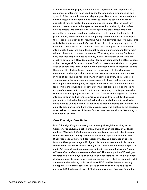are in Baldwin's biography, as emotionally fragile as he was in private life, it's almost sinister that he is used by the literary and cultural machine as a symbol of the uncomplicated and elegant great Black hope, the well-adjusted unwavering public intellectual and writer to whom we can all look for an example of how to master the discipline and the image. The toll Baldwin's outward mastery took on his spirit is overlooked or hushed by the fanfare, so that writers who emulate him like disciples are practicing sorrow and precarity as much as excellence and genius. By tidying up the legacies of great talents, we undermine them completely, and doom ourselves to repeat the struggles as much as the triumphs. On some perverse level we even come to fetishize the trouble, as if it's part of the rubric of having a story to tell. Or worse, we aestheticize the trauma of an artist's or any citizen's translation into a public figure, we make them abstractions in our minds and leave them with no place left to be real, to become. What story does Jimmy Baldwin's very real recurring attempts at suicide, even at the height of his fame and creative power, tell? How does his lust for death complicate his effectiveness at life, his legacy? For every James Baldwin, there are a whole lot of corpses, a lot of people who went under, he once lamented during an interview toward the end of his glorious tenure on earth. The versions of him who almost went under, and not just the stellar easy-to-admire iterations, are the ones in need of our love and recognition. As in James Baldwin, so in ourselves. This revisionist history becomes an ongoing act of love and reparations, of rescuing us from the edge by letting us admit when we reach it and almost leap forth, almost wanna be ready. Suffering that precipice in silence is not a sign of courage, not romantic, not poetic, not going to make you see what Baldwin saw, not going to impede the truth from its clamoring march forward into and through and beyond you. So vent, own it, live to tell it, what made you want to die? What let you live? What does survival mean to you? What did it mean to James Baldwin? What does he mean suffering that he didn't as a purely oracular cultural hero whose subjectivity was masked by his capacity to reveal us to ourselves. If James Baldwin was lost, we all are. Searching is our mode of survival.

#### **Dear Etheridge, Dear Rufus,**

Poet Etheridge Knight is slurring and weaving through his reading at the Scranton, Pennsylvania public library, drunk, lit up in the glow of his lavish, endless, Mississippi, Goddamn, when he invokes an interlude about James Baldwin's Another Country. The novel disturbs Knight's biases about how Black men cope with morbid depression by allowing a protagonist to leap from the George Washington Bridge to his death, to commit suicide right in the middle of an American tale. That just ain't our style, Etheridge quips. We might kill each other, drink ourselves to death, overdose, but we don't jump off no bridge or shoot ourselves in the head. The meta quality of Etheridge's monologuing is some hybrid of beautiful and devastating. Here's a black poet drinking himself to death slowly and confessing it at a slant to his mostly white audience in this echoing hall in small town USA, and by default admitting a deep state of denial about what preys on him when he says he does not agree with Baldwin's portrayal of Black men in Another Country. Rufus, the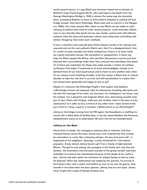novel's grand martyr, is a gay Black jazz drummer based not so loosely on Baldwin's best friend Eugene Worth, who had leapt to his death from the George Washington Bridge in 1946 in almost the same way the character does, prompting Baldwin to move to Paris before tempted or pushed off that bridge himself. And here's Etheridge, Black poet and ex-convict in the Reagan era 1980s, the crack cocaine 80s, when no one Black can be subtle or safe, refusing to believe that what he calls 'social pressure' could motivate a Black man to very literally take death into his own hands, control with self-inflicted violence what the state and dominant culture were otherwise controlling with similar, though by then more tacit, methods.

If even a sensitive and nuanced poet thinks blatant suicide is for chumps and cowards and not for real authentic Black men, that it's a disappointment, that it's cooler to ease casually into lethal numbed-out misery or at least make up a good masculine excuse, like alcoholism or gangsterism, is there any hope for Black people like Rufus, who sacrifice themselves to prove just how doomed their surroundings make them feel, and just how boundless that doom is? Is there any restitution for those who make suicide a matter of ruthless confession that might, if examined or at least acknowledged, compel us to demand more of our lived experiences and to listen to one another even when it's an uneasy sound seething through, to be the reason a Black man or woman decides to take the risk that is survival and self-actualization in a place that has always been genocidal and happy to see us go?

Maybe it's reactions like Etheridge Knight's that explain why Baldwin, unflinchingly honest and exposed, kept his depressive brooding side quiet and led with the leverage of his smile, his charisma, his intelligence, his humor, and his critique. For a powerful and magnetic Black man, does being suicidal strip you of your charm and intrigue, make you just another mule in the eyes of your community? Is it safer to be a criminal of any other kind—does sorrow make you a fool or a king, a god or a monster, a Black prince or an afterthought?

Jimmy on the bridge running from his FBI agent, like Sweetback, or stuffing his mouth with a lethal dose of barbiturates, is not the James Baldwin the American establishment wants us to understand. We won't let him be misunderstood.

#### **Johnny on the Spot**

Hierarchies of shade, the contagious sickness that is colorism, and that infected Harlem social life when Jimmy was a kid, inspired the first suicide he remembers in rumor like a listening witness. He was nine years old—it happened on his neighbors' doorstep, a petty threshold for internalized prejudice. A boy named Johnny loved a girl from a family of light-skinned Blacks. The girl he was seeing, the youngest in the family who was also the darkest, the anomalous one and quiet scandal of the group herself, had been forbidden to continue the relationship because of the shade of her suitor's skin. Johnny had been given his nickname for always being on time to meet his beloved. When the relationship was ended by her parents, he arrived at the family's door with a pistol and faithful as ever to his nom de guerre, shot himself in the head when the door opened. Johnny had his own style. Jimmy never forgot that image of bloody loveless love.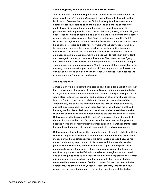#### **Dear Langston, Have you Been to the Mountaintop?**

A different poet, Langston Hughes, wrote Jimmy after the publication of his debut novel Go Tell It on the Mountain, to praise the central suicide in that book, which features the character Richard, falsely jailed for a robbery and beaten by police, resorting to taking his own life as a means of regaining control over his circumstances, and because the senselessness of his persecution feels impossible to heal, haunts his every waking moment. Hughes understood the value of death being a decision and not a surrender to another group's crimes and obsessions. And Baldwin understood men like Kalief Browder, the high school student from the Bronx who committed suicide after being taken to Rikers and held for two years without conviction or charges for any crime, because there was no crime but walking with a backpack while Black. It was after his release that Kalief took his own life. Throwing an innocent man in a cage on a whim is a good way to make him crave death and revenge in near equal ratio. And how many Black men besides Django and other fictions survive their own revenge fantasies? Good job at killing off your characters, Hughes was saying. Way to be natural. It's a great day in the morning on the mountaintop with a knot of friendly ghosts in our hearts, but don't push us. We're so close. We're the ones you cannot touch because we are too near. Don't come too much closer.

#### **I'm Your Pusher**

James Baldwin's biological father is said to have been a drug addict his mother had to leave while Jimmy was still in utero. Beyond that, mention of the father in biographical information is cryptic or non-existent. Jimmy's surrogate father was a stern, unforgiving, preacher and laborer, son of a slave who had moved from the South to the North (Louisiana to Harlem) to take a piece of the American pie, and all his life remained obsessed with salvation and sanctity and that missing piece. In between these two men, the unknown and the allknowing, we find James Baldwin, who both loved and resented the man who raised him and who served as an accomplice to the erasure of his natal father. Baldwin seemed to be okay with his mother's omissions of any biographical details of his first father, but it's unclear whether he arrived at that position because it was one of many strictly enforced rules in his sanctified Pentecostal household, or if Jimmy really wasn't concerned with his biological paternity.

Baldwin's autobiographical writing commits a kind of double patricide with its recurring emphasis of his being raised by a preacher, overriding any explicit mention of his being estranged from his birth father, not even knowing his name. He ultimately rejects both of his fathers and finds models like the painter Beauford Delaney and writer Richard Wright, who help him invent a composite paternal masculinity that is benevolent without the tyranny of old-time religion. And while Baldwin is a talented enough writer and mystic and demagogue to have us all believe that he was well adjusted to the eternal missingness of the man whose genetics and proclivities he inherited on some level but never witnessed firsthand, James Baldwin the boychild, the adolescent, and then the man (writer, witness, prophet) was not oblivious or careless or contented enough to forget that he'd been disinherited and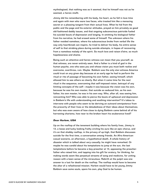mythologized, that nothing was as it seemed, that he himself was not as he seemed, a heroic misfit.

Jimmy did his remembering with his body, his heart, as he fell in love time and again with men who wore two faces, who treated him like a menacing secret or a pleasing tangent from their actual lives. What he hid from the public and the page and his exterior attitudes, preyed on him privately as good old-fashioned daddy issues, and that ongoing subconscious patricide fueled his suicidal bouts of depression and longing. In omitting his biological father from his narrative, he had erased some of himself. The unknown where his father resided nameless, where his subconscious broke from verbal life the way only heartbreak can inspire, he tried to deliver his body, his entire sense of self to that strobing place during suicide attempts, in hopes of recovering from a nameless malady of the spirit. So much love and raison d'etre, so much hopelessness and shame.

Being such an attentive and heroic witness can mean that you yourself, as that witness, are never entirely seen. And a father is a kind of god in the human psyche, one who sees you and whose vision you must both realize and overcome, overthrow, ruin. Maybe Baldwin was the only star-witness America could trust on any given day because at an early age he had to perform the ritual or rite of passage of becoming his own father, seeing himself, which allowed him to see others so clearly. But when it came time for the next ritual in the sequence, overcoming that self-imposed vision, betrayal of any limiting concepts of the self—maybe it was because the vision was his own, because he was his own master, that suicide so seduced him, as his own father, his own master, he was in his own way. Who, after all, was seeing him, reinventing him? Who was able to pierce the bouts of upheaval and depression in Baldwin's life with understanding and soothing intervention? It's taboo to intervene with people who seem to be deriving an outward omnipotence from the precarity of their lives or the deludedness of their ideas about themselves; but who was even aware of how close to dying Baldwin came behind all of his harrowing charisma, how near to the broken heart his exuberance lived?

#### **Dear Harlem, USA**

Up on the rooftop of the tenement building where his family lives, Jimmy is 13, a loose and lucky looking frailty circling his aura like an epic chorus, and it's on that shabby rooftop, in the privacy of up-high, that Baldwin discusses suicide for the first time, a conversation among friends. An Afro-American casual scenario, an afternoon, a hypothetical death. A whole history of disaster which is talked about very casually, he might have remarked. Or maybe he was candid about his temptations to jump at the sun, the last temptations before he became a boy-preacher at 14, appeasing the preacherfather who raised him, and tapping into his gift for oratory, for thinking, for making words seem like perpetual streams of song and medicine, for uniting reason with a keen sense of the miraculous. Rebirth at the pulpit was one answer to a lust for death on the rooftop. The rooftop would have to become the altar of a refashioned mission. Harlem would have to let young Jimmy Baldwin save some souls, spare his own, play God to be human.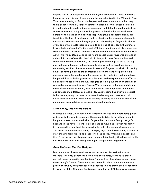#### **None but the Righteous**

Eugene Worth, an allegorical name and mythic presence in James Baldwin's life and psyche, his best friend during the years he lived in the Village in New York before moving to Paris, his deepest and most phantom love, had leapt to his death from the George Washington Bridge in 1946. Eugene's suicide is what had made Baldwin both brave enough and defiant enough against the American vision of the pursuit of happiness to flee that hypocritical nation, before he too made such a doomed leap. A fugitive's desperate frenzy can turn into a lifetime of running and guilt; a ghost can become an unshakeable muse—and so it was with Jimmy's psychic relationship to Eugene. In almost every one of his novels there is a suicide or a kind of ego-death that mimics it. And half-confessed affections and afflictions haunt many of his characters, from the furtive lovers in Giovanni's Room to the open secrets in Tell me How Long This Train's Been Gone to the negro gospel singer murdered outside of a church in Just Above My Head, all of Jimmy's fictions favor the haunted, the hunted, the misunderstood, the ones impulsive enough to get to the top and look down. Eugene had confessed to Jimmy that he loved him before committing suicide. Jimmy, who was in love with Eugene but afraid of creating havoc, or having misread the confession as romance and not platonic, did not reciprocate the candor. And he wondered his whole life what might have happened if he had—he grieved for a lifetime. And every time a love affair of his ended or became tumultuous, thoughts of joining Eugene in an eternity of reconciliation were not far off. Eugene Worth became both muse and demon, voice of reason and madman, inspiration to live and temptation to die, hero and antagonist, in Baldwin's psychic life. Eugene joined Baldwin's biological father as a mystery that was never examined openly and therefore could never be fully solved or soothed. A taunting intimacy on the other side of time. Jimmy was accumulating an entourage of such phantoms.

#### **Dear Fonny, Dear Beale Street,**

In If Beale Street Could Talk a man is framed for rape by a begrudging police officer while his wife is pregnant. The couple is living in the Village when it happens, where Jimmy lived when Eugene died, and once Fonny, the girl's husband in the novel, is sent to jail, she has to move back in with her family in Harlem while they fight the case with the help of a modest Jewish lawyer. The strain on the families as they try to pay legal fees forces Fonny's father to start stealing from his job as a laborer on the docks. When he is caught and fired from the job, he disappears and is found later, having killed himself, in his car. The novel ends with Fonny still in jail, his girl about to give birth.

#### **Dear Malcolm, Martin, Medgar,**

Martyrs are as close to suicides as murders come. Assassinations are murders. The dirty generosity on the side of the state, to make us these perfect immortal double agents, doesn't make it any less devastating. These were Jimmy's friends. These were men he could relate to, men in the same prison of scrutiny and prophecy he was locked in, and they were all shot down in broad daylight. All James Baldwin got was that fat FBI file now for sale on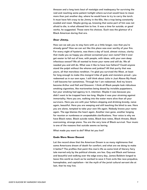Amazon and a long toxic bout of nostalgia and inadequacy for surviving the raid and reaching some patient twilight where survival would have to mean more than just another day, where he would have to try to carry the torch. It must have felt crazy to be Jimmy in the 60s, like a trap being constantly evaded and reset. Maybe giving up, knowing that some part of him was not afraid to die, is what allowed him to live. It was a time for suicide, or good works, he suggested. Those were his choices. Such was the glamour of a Black American during that era.

#### **Dear Jimmy,**

How can we ask you to stay here with us a little longer, now that you're already gone? How we can act like this place was ever worthy of your fire. For every night of hysteria, was there a day of lucid, almost vicious, clarity that made you so happy you almost screamed your own name? Did it ever get easier to fall out of love, with people, with ideas, with your own deep infectious swoon? We all wanted to know your name and still do. We all needed you and still do. What was it like to have two fathers? Could anyone stand the pulpit without the whores and junkies? All that purity that was yours, all that merciless rendition. I'm glad you survived the West, at least for long enough to make this mongrel tribe of gods and monsters proud—you redeemed us in our own eyes. I still think about Julia in Just Above My Head. I still become her sometimes. Through her I am redeemed. And my lovers become Arthur and Hall and Giovanni. I think all Black people look ridiculous smoking cigarettes, like marionettes being dosed by invisible puppeteers, but your smoking had agency to it, intention. Maybe it was because you didn't want to be trapped here too long. Maybe it was your straining against immortality. Here you are, walking into the water more alive than all your survivors. Here you are with your fathers skipping and drinking brandy, naive again, beautiful. Here you are weeping and still teaching the blind to see. Here you are alone, tempted to take your own life again. Nobody knows your name again. The ego blames the heart again. Another man gone, another longing for reunion or numbness or unspeakable clarifications. Your voice is why we have Black notes. Black suicide notes, Black love notes, Black threats, Black overcoming, strange piano. You are the very tone of Black survival. Your music is one of the reasons that suicide seems so boring.

What made you want to die? What let you live?

#### **Gods Were Never Decent**

Let the record show that the American Dream is so many nightmares that some Americans dream of death for comfort; and what are we doing to make it better? The profiles that paint this man's life as some kind of literary fairy tale marred only by the political climate, are lies. Gay and Black and famous and beautiful and walking over the edge every day, James Baldwin longed to leave this world as much as he worked to save it from evils like race prejudice, homophobia, and capitalism—let the myth of the jovial cultural servant die at last, that he may live.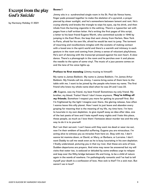## **Excerpt from the play**  *God's Suicide*

by Harmony Holiday © 2021

### **Scene I**

Jimmy sits in a sundrenched single room in his St. Paul de Vence home, finger pads pressed together to make the skeleton of a pyramid, a prayer pierced by sheer sunlight, and he's somewhere between lament and rant. He's crying silently and breaks the triangle to wipe his eyes, sip his drink, and then inhale from the burning cigarette in the ashtray. There's a typewriter set with pages from a half written letter. He's writing the first pages of this script, a letter to his best friend Eugene Worth, who committed suicide in 1946 by jumping in the East River, the leap that sent Jimmy from Harlem, New York to Paris, afraid for his own life, afraid he would be next to jump. The torment of mourning and recollections mingles with the ecstatic of making contact with a loved one in the spirit world and there's a warmth and intimacy in each gesture in the room and coming from Jimmy a sense of reluctant playfulness. He's sort of dancing with the transcript pressed against his own heart. A slow dance. There's a phonograph in the room and he perches over it and places the needle to the spine of some vinyl. The music of a jazz pavane comes on and the lane of his voice lights up.

#### **Preface to first monolog** (Jimmy musing to himself)

My name is James Baldwin. My name is James Baldwin. I'm James Arhur Baldwin. My friends call me Jimmy. I wanna bring some of them here to the table with me. I want to be joined by the people who know my name. The first friend who knew my whole name died when he was 24 and I was 22.

**JB**: Eugene, was my friend, my best friend! Sometimes my only friend. My brother, my blood. Traitor! Hero! I don't know anymore. **They're killing all my friends.** Somehow I respect you more for getting to yourself first. But I'm frightened by the light I imagine over there, the glaring release, how often I wanna leave this silly planet. How I want to just leave and abandon every groping for meaning that is the meaning of my life, my time here. I'm here to luxuriate in my own depletion, to give myself away as idea after idea, one of the last poets of love and I hate myself many nights and I hate this place, these people, as much as I love them I fantasize about murder too and the only way to do it is to yourself.

But I am their servant. I can't leave until they want me dead or wear me out, now I'm their emblem of beautiful suffering. Eugene you are miraculous. I'm acting alive to witness you as miracles from here on. Stay with me. I don't wanna let mamma down, or David, or Mary, or Barbara, or Lorraine. I don't want Daddy to call me weak even as he is busy luxuriating in his own depletion. I finally understood, picturing you in that icy river, that these are acts of love. Sudden departures are prayers. And mine may never be answered but my will visits that water too, is seduced or deluded by some endless urge to relapse and leap over the filthy bridge between life and living, to be a child of nature again in the womb of nowhere. I'm pathologically romantic and I've had to tell myself your death is a confession of love. How sick is that? I'm a sick man. But weren't we in love?